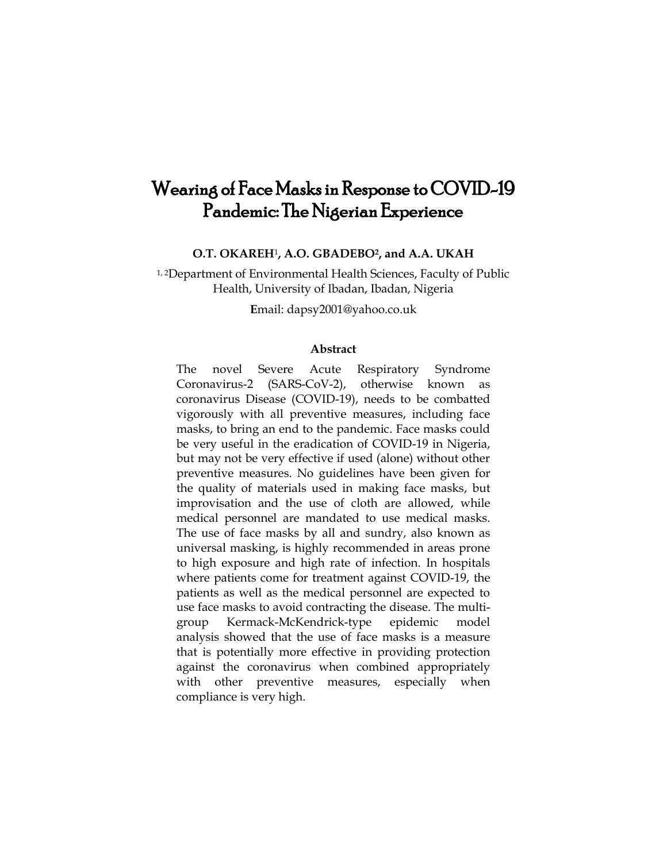# Wearing of Face Masks in Response to COVID-19 Pandemic: The Nigerian Experience

**O.T. OKAREH**1**, A.O. GBADEBO2, and A.A. UKAH**

1, 2Department of Environmental Health Sciences, Faculty of Public Health, University of Ibadan, Ibadan, Nigeria

**E**mail: dapsy2001@yahoo.co.uk

#### **Abstract**

The novel Severe Acute Respiratory Syndrome Coronavirus-2 (SARS-CoV-2), otherwise known as coronavirus Disease (COVID-19), needs to be combatted vigorously with all preventive measures, including face masks, to bring an end to the pandemic. Face masks could be very useful in the eradication of COVID-19 in Nigeria, but may not be very effective if used (alone) without other preventive measures. No guidelines have been given for the quality of materials used in making face masks, but improvisation and the use of cloth are allowed, while medical personnel are mandated to use medical masks. The use of face masks by all and sundry, also known as universal masking, is highly recommended in areas prone to high exposure and high rate of infection. In hospitals where patients come for treatment against COVID-19, the patients as well as the medical personnel are expected to use face masks to avoid contracting the disease. The multigroup Kermack-McKendrick-type epidemic model analysis showed that the use of face masks is a measure that is potentially more effective in providing protection against the coronavirus when combined appropriately with other preventive measures, especially when compliance is very high.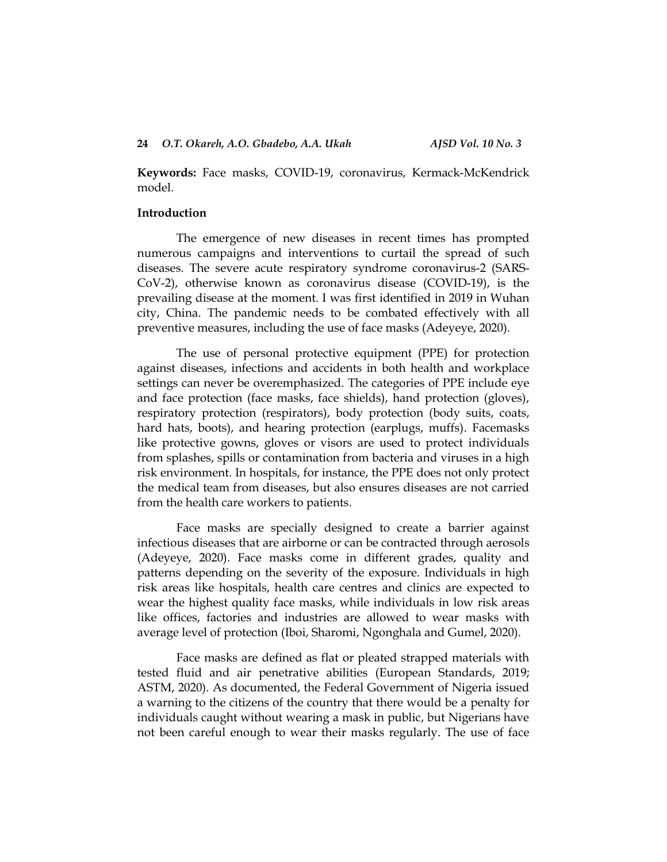**Keywords:** Face masks, COVID-19, coronavirus, Kermack-McKendrick model.

### **Introduction**

The emergence of new diseases in recent times has prompted numerous campaigns and interventions to curtail the spread of such diseases. The severe acute respiratory syndrome coronavirus-2 (SARS-CoV-2), otherwise known as coronavirus disease (COVID-19), is the prevailing disease at the moment. I was first identified in 2019 in Wuhan city, China. The pandemic needs to be combated effectively with all preventive measures, including the use of face masks (Adeyeye, 2020).

The use of personal protective equipment (PPE) for protection against diseases, infections and accidents in both health and workplace settings can never be overemphasized. The categories of PPE include eye and face protection (face masks, face shields), hand protection (gloves), respiratory protection (respirators), body protection (body suits, coats, hard hats, boots), and hearing protection (earplugs, muffs). Facemasks like protective gowns, gloves or visors are used to protect individuals from splashes, spills or contamination from bacteria and viruses in a high risk environment. In hospitals, for instance, the PPE does not only protect the medical team from diseases, but also ensures diseases are not carried from the health care workers to patients.

Face masks are specially designed to create a barrier against infectious diseases that are airborne or can be contracted through aerosols (Adeyeye, 2020). Face masks come in different grades, quality and patterns depending on the severity of the exposure. Individuals in high risk areas like hospitals, health care centres and clinics are expected to wear the highest quality face masks, while individuals in low risk areas like offices, factories and industries are allowed to wear masks with average level of protection (Iboi, Sharomi, Ngonghala and Gumel, 2020).

Face masks are defined as flat or pleated strapped materials with tested fluid and air penetrative abilities (European Standards, 2019; ASTM, 2020). As documented, the Federal Government of Nigeria issued a warning to the citizens of the country that there would be a penalty for individuals caught without wearing a mask in public, but Nigerians have not been careful enough to wear their masks regularly. The use of face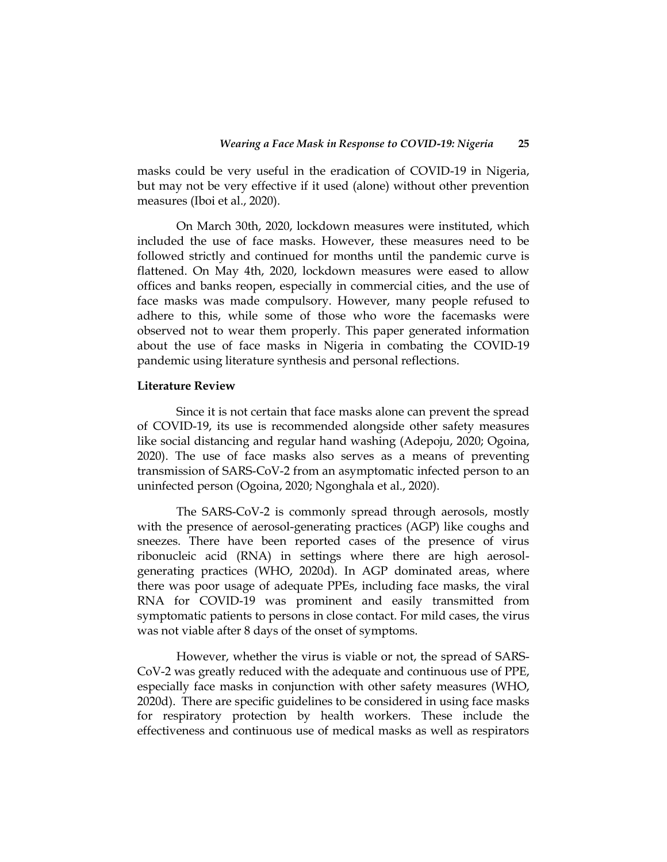masks could be very useful in the eradication of COVID-19 in Nigeria, but may not be very effective if it used (alone) without other prevention measures (Iboi et al., 2020).

On March 30th, 2020, lockdown measures were instituted, which included the use of face masks. However, these measures need to be followed strictly and continued for months until the pandemic curve is flattened. On May 4th, 2020, lockdown measures were eased to allow offices and banks reopen, especially in commercial cities, and the use of face masks was made compulsory. However, many people refused to adhere to this, while some of those who wore the facemasks were observed not to wear them properly. This paper generated information about the use of face masks in Nigeria in combating the COVID-19 pandemic using literature synthesis and personal reflections.

### **Literature Review**

Since it is not certain that face masks alone can prevent the spread of COVID-19, its use is recommended alongside other safety measures like social distancing and regular hand washing (Adepoju, 2020; Ogoina, 2020). The use of face masks also serves as a means of preventing transmission of SARS-CoV-2 from an asymptomatic infected person to an uninfected person (Ogoina, 2020; Ngonghala et al., 2020).

The SARS-CoV-2 is commonly spread through aerosols, mostly with the presence of aerosol-generating practices (AGP) like coughs and sneezes. There have been reported cases of the presence of virus ribonucleic acid (RNA) in settings where there are high aerosolgenerating practices (WHO, 2020d). In AGP dominated areas, where there was poor usage of adequate PPEs, including face masks, the viral RNA for COVID-19 was prominent and easily transmitted from symptomatic patients to persons in close contact. For mild cases, the virus was not viable after 8 days of the onset of symptoms.

However, whether the virus is viable or not, the spread of SARS-CoV-2 was greatly reduced with the adequate and continuous use of PPE, especially face masks in conjunction with other safety measures (WHO, 2020d). There are specific guidelines to be considered in using face masks for respiratory protection by health workers. These include the effectiveness and continuous use of medical masks as well as respirators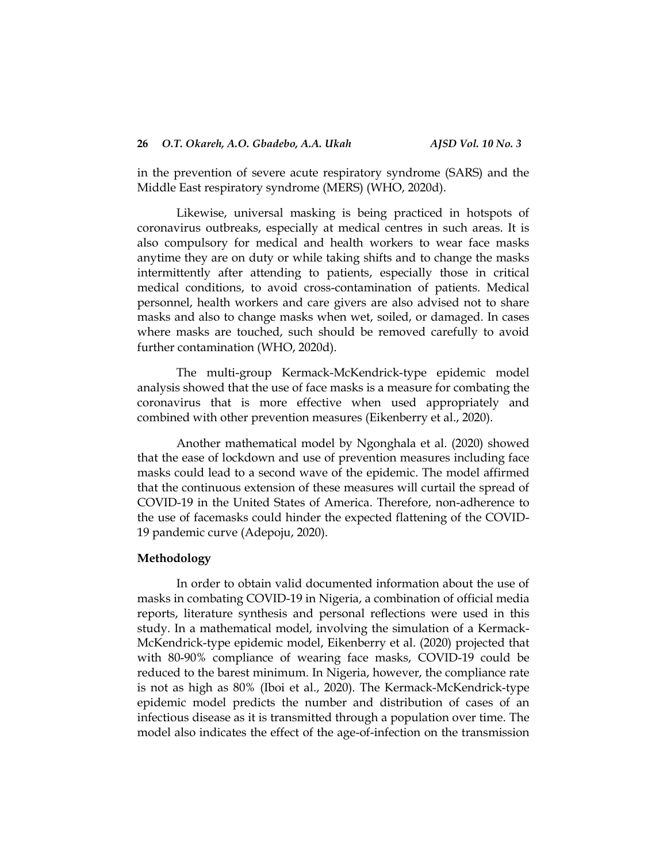in the prevention of severe acute respiratory syndrome (SARS) and the Middle East respiratory syndrome (MERS) (WHO, 2020d).

Likewise, universal masking is being practiced in hotspots of coronavirus outbreaks, especially at medical centres in such areas. It is also compulsory for medical and health workers to wear face masks anytime they are on duty or while taking shifts and to change the masks intermittently after attending to patients, especially those in critical medical conditions, to avoid cross-contamination of patients. Medical personnel, health workers and care givers are also advised not to share masks and also to change masks when wet, soiled, or damaged. In cases where masks are touched, such should be removed carefully to avoid further contamination (WHO, 2020d).

The multi-group Kermack-McKendrick-type epidemic model analysis showed that the use of face masks is a measure for combating the coronavirus that is more effective when used appropriately and combined with other prevention measures (Eikenberry et al., 2020).

Another mathematical model by Ngonghala et al. (2020) showed that the ease of lockdown and use of prevention measures including face masks could lead to a second wave of the epidemic. The model affirmed that the continuous extension of these measures will curtail the spread of COVID-19 in the United States of America. Therefore, non-adherence to the use of facemasks could hinder the expected flattening of the COVID-19 pandemic curve (Adepoju, 2020).

# **Methodology**

In order to obtain valid documented information about the use of masks in combating COVID-19 in Nigeria, a combination of official media reports, literature synthesis and personal reflections were used in this study. In a mathematical model, involving the simulation of a Kermack-McKendrick-type epidemic model, Eikenberry et al. (2020) projected that with 80-90% compliance of wearing face masks, COVID-19 could be reduced to the barest minimum. In Nigeria, however, the compliance rate is not as high as 80% (Iboi et al., 2020). The Kermack-McKendrick-type epidemic model predicts the number and distribution of cases of an infectious disease as it is transmitted through a population over time. The model also indicates the effect of the age-of-infection on the transmission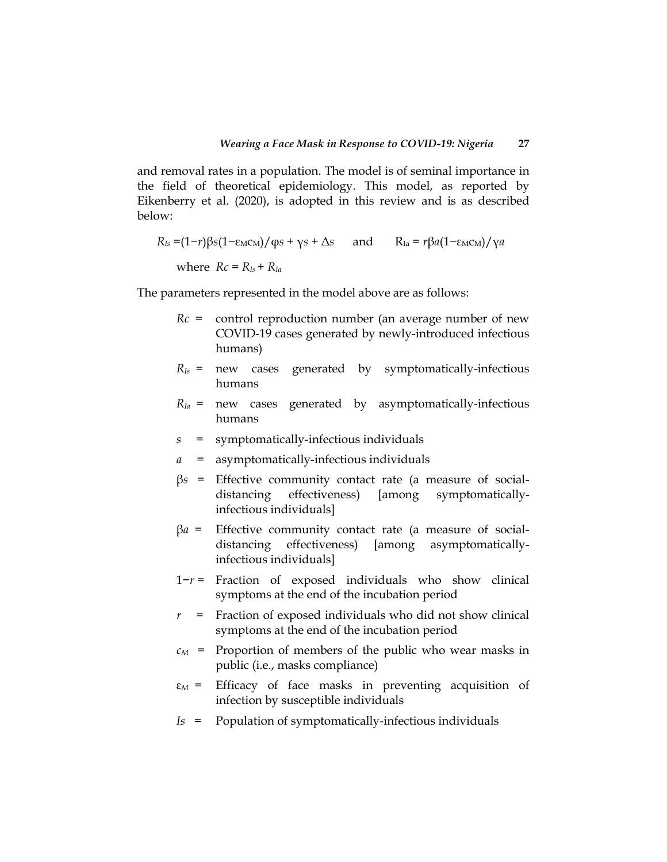and removal rates in a population. The model is of seminal importance in the field of theoretical epidemiology. This model, as reported by Eikenberry et al*.* (2020), is adopted in this review and is as described below:

$$
R_{Is} = (1-r)\beta s (1-\epsilon_{M}C_{M})/\varphi s + \gamma s + \Delta s \quad \text{and} \quad R_{Ia} = r\beta a (1-\epsilon_{M}C_{M})/\gamma a
$$
  
where  $Rc = R_{Is} + R_{Ia}$ 

The parameters represented in the model above are as follows:

- *Rc* = control reproduction number (an average number of new COVID-19 cases generated by newly-introduced infectious humans)
- *RIs* = new cases generated by symptomatically-infectious humans
- $R_{Ia}$  = new cases generated by asymptomatically-infectious humans
- *s* = symptomatically-infectious individuals
- *a* = asymptomatically-infectious individuals
- β*s* = Effective community contact rate (a measure of socialdistancing effectiveness) [among symptomaticallyinfectious individuals]
- β*a* = Effective community contact rate (a measure of socialdistancing effectiveness) [among asymptomaticallyinfectious individuals]
- 1−*r* = Fraction of exposed individuals who show clinical symptoms at the end of the incubation period
- *r* = Fraction of exposed individuals who did not show clinical symptoms at the end of the incubation period
- $c_M$  = Proportion of members of the public who wear masks in public (i.e., masks compliance)
- ε*M* = Efficacy of face masks in preventing acquisition of infection by susceptible individuals
- *Is* = Population of symptomatically-infectious individuals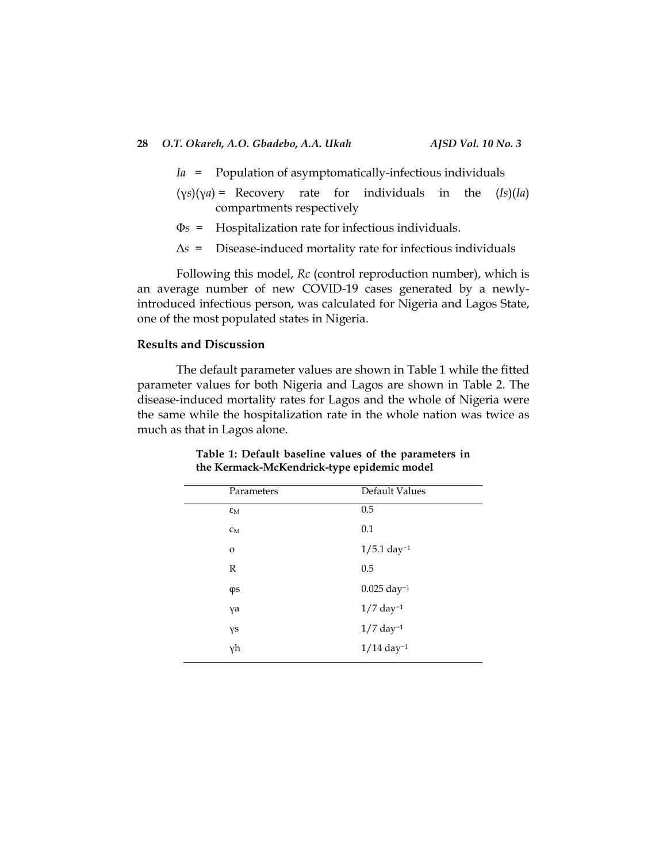- *Ia* = Population of asymptomatically-infectious individuals
- (γ*s*)(γ*a*) = Recovery rate for individuals in the (*Is*)(*Ia*) compartments respectively
- Φ*s* = Hospitalization rate for infectious individuals.
- Δ*s* = Disease-induced mortality rate for infectious individuals

Following this model, *Rc* (control reproduction number), which is an average number of new COVID-19 cases generated by a newlyintroduced infectious person, was calculated for Nigeria and Lagos State, one of the most populated states in Nigeria.

# **Results and Discussion**

The default parameter values are shown in Table 1 while the fitted parameter values for both Nigeria and Lagos are shown in Table 2. The disease-induced mortality rates for Lagos and the whole of Nigeria were the same while the hospitalization rate in the whole nation was twice as much as that in Lagos alone.

**Table 1: Default baseline values of the parameters in the Kermack-McKendrick-type epidemic model**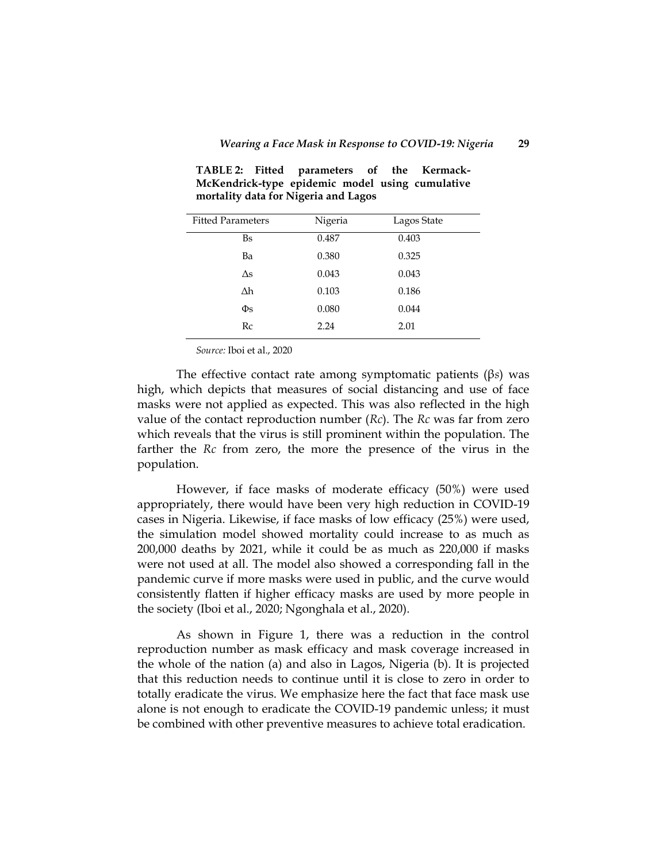| <b>Fitted Parameters</b> | Nigeria | Lagos State |  |
|--------------------------|---------|-------------|--|
| <b>Bs</b>                | 0.487   | 0.403       |  |
| Ba                       | 0.380   | 0.325       |  |
| Δs                       | 0.043   | 0.043       |  |
| Δh                       | 0.103   | 0.186       |  |
| $\Phi$ s                 | 0.080   | 0.044       |  |
| Rc                       | 2.24    | 2.01        |  |
|                          |         |             |  |

**TABLE 2: Fitted parameters of the Kermack-McKendrick-type epidemic model using cumulative mortality data for Nigeria and Lagos**

*Source:* Iboi et al., 2020

The effective contact rate among symptomatic patients (β*s*) was high, which depicts that measures of social distancing and use of face masks were not applied as expected. This was also reflected in the high value of the contact reproduction number (*Rc*). The *Rc* was far from zero which reveals that the virus is still prominent within the population. The farther the *Rc* from zero, the more the presence of the virus in the population.

However, if face masks of moderate efficacy (50%) were used appropriately, there would have been very high reduction in COVID-19 cases in Nigeria. Likewise, if face masks of low efficacy (25%) were used, the simulation model showed mortality could increase to as much as 200,000 deaths by 2021, while it could be as much as 220,000 if masks were not used at all. The model also showed a corresponding fall in the pandemic curve if more masks were used in public, and the curve would consistently flatten if higher efficacy masks are used by more people in the society (Iboi et al., 2020; Ngonghala et al., 2020).

As shown in Figure 1, there was a reduction in the control reproduction number as mask efficacy and mask coverage increased in the whole of the nation (a) and also in Lagos, Nigeria (b). It is projected that this reduction needs to continue until it is close to zero in order to totally eradicate the virus. We emphasize here the fact that face mask use alone is not enough to eradicate the COVID-19 pandemic unless; it must be combined with other preventive measures to achieve total eradication.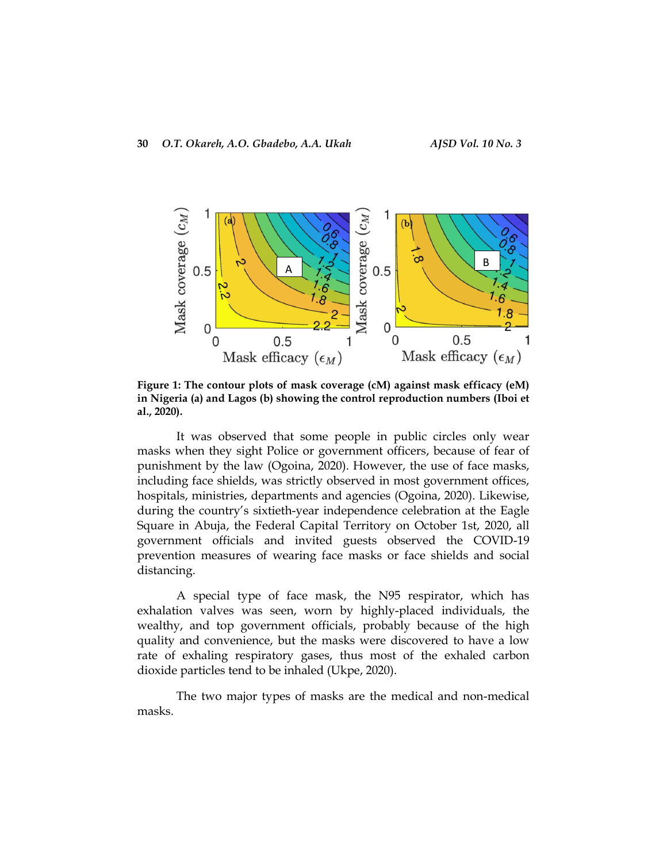

**Figure 1: The contour plots of mask coverage (cM) against mask efficacy (eM) in Nigeria (a) and Lagos (b) showing the control reproduction numbers (Iboi et al., 2020).** 

It was observed that some people in public circles only wear masks when they sight Police or government officers, because of fear of punishment by the law (Ogoina, 2020). However, the use of face masks, including face shields, was strictly observed in most government offices, hospitals, ministries, departments and agencies (Ogoina, 2020). Likewise, during the country's sixtieth-year independence celebration at the Eagle Square in Abuja, the Federal Capital Territory on October 1st, 2020, all government officials and invited guests observed the COVID-19 prevention measures of wearing face masks or face shields and social distancing.

A special type of face mask, the N95 respirator, which has exhalation valves was seen, worn by highly-placed individuals, the wealthy, and top government officials, probably because of the high quality and convenience, but the masks were discovered to have a low rate of exhaling respiratory gases, thus most of the exhaled carbon dioxide particles tend to be inhaled (Ukpe, 2020).

The two major types of masks are the medical and non-medical masks.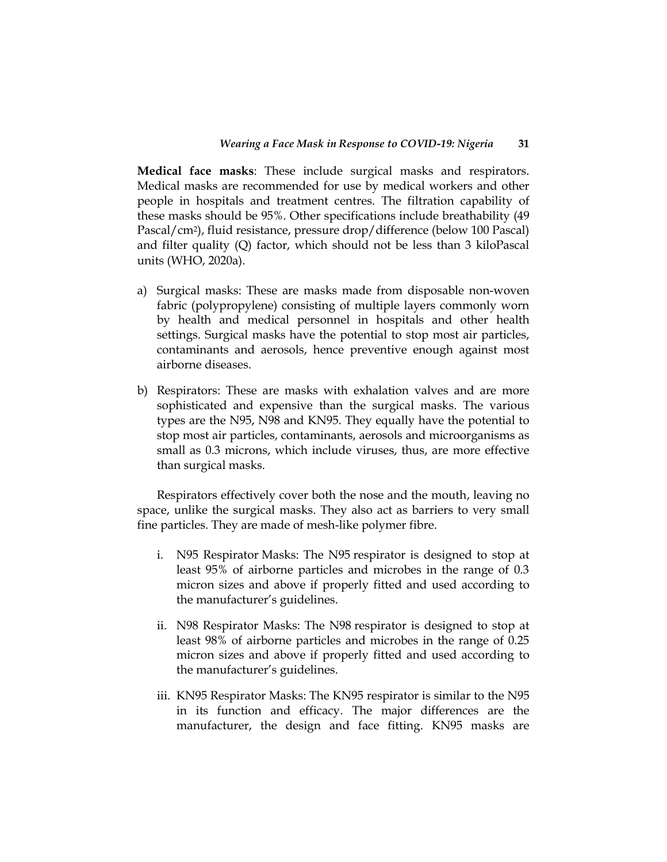**Medical face masks**: These include surgical masks and respirators. Medical masks are recommended for use by medical workers and other people in hospitals and treatment centres. The filtration capability of these masks should be 95%. Other specifications include breathability (49 Pascal/cm2), fluid resistance, pressure drop/difference (below 100 Pascal) and filter quality (Q) factor, which should not be less than 3 kiloPascal units (WHO, 2020a).

- a) Surgical masks: These are masks made from disposable non-woven fabric (polypropylene) consisting of multiple layers commonly worn by health and medical personnel in hospitals and other health settings. Surgical masks have the potential to stop most air particles, contaminants and aerosols, hence preventive enough against most airborne diseases.
- b) Respirators: These are masks with exhalation valves and are more sophisticated and expensive than the surgical masks. The various types are the N95, N98 and KN95. They equally have the potential to stop most air particles, contaminants, aerosols and microorganisms as small as 0.3 microns, which include viruses, thus, are more effective than surgical masks.

Respirators effectively cover both the nose and the mouth, leaving no space, unlike the surgical masks. They also act as barriers to very small fine particles. They are made of mesh-like polymer fibre.

- i. N95 Respirator Masks: The N95 respirator is designed to stop at least 95% of airborne particles and microbes in the range of 0.3 micron sizes and above if properly fitted and used according to the manufacturer's guidelines.
- ii. N98 Respirator Masks: The N98 respirator is designed to stop at least 98% of airborne particles and microbes in the range of 0.25 micron sizes and above if properly fitted and used according to the manufacturer's guidelines.
- iii. KN95 Respirator Masks: The KN95 respirator is similar to the N95 in its function and efficacy. The major differences are the manufacturer, the design and face fitting. KN95 masks are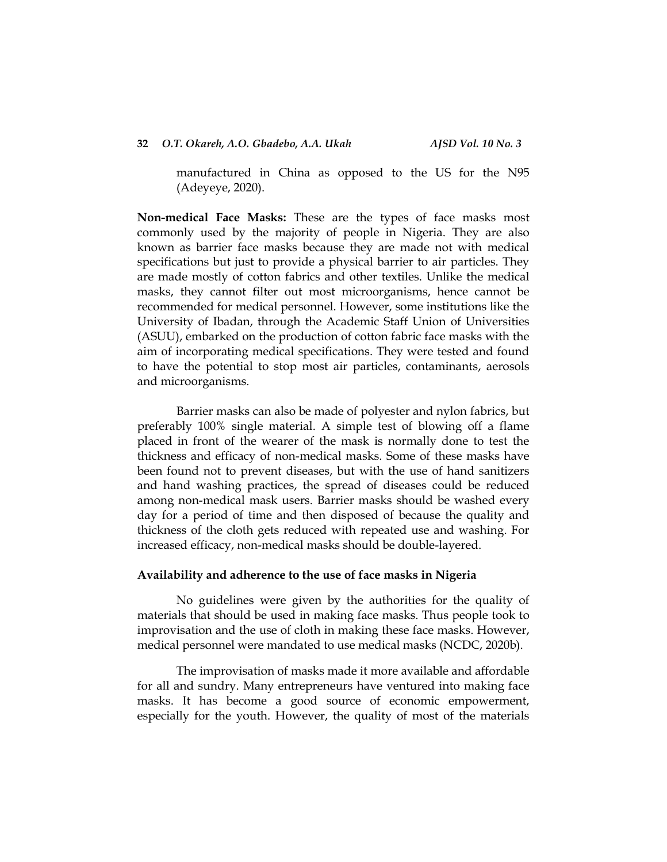# **32** *O.T. Okareh, A.O. Gbadebo, A.A. Ukah AJSD Vol. 10 No. 3*

manufactured in China as opposed to the US for the N95 (Adeyeye, 2020).

**Non-medical Face Masks:** These are the types of face masks most commonly used by the majority of people in Nigeria. They are also known as barrier face masks because they are made not with medical specifications but just to provide a physical barrier to air particles. They are made mostly of cotton fabrics and other textiles. Unlike the medical masks, they cannot filter out most microorganisms, hence cannot be recommended for medical personnel. However, some institutions like the University of Ibadan, through the Academic Staff Union of Universities (ASUU), embarked on the production of cotton fabric face masks with the aim of incorporating medical specifications. They were tested and found to have the potential to stop most air particles, contaminants, aerosols and microorganisms.

Barrier masks can also be made of polyester and nylon fabrics, but preferably 100% single material. A simple test of blowing off a flame placed in front of the wearer of the mask is normally done to test the thickness and efficacy of non-medical masks. Some of these masks have been found not to prevent diseases, but with the use of hand sanitizers and hand washing practices, the spread of diseases could be reduced among non-medical mask users. Barrier masks should be washed every day for a period of time and then disposed of because the quality and thickness of the cloth gets reduced with repeated use and washing. For increased efficacy, non-medical masks should be double-layered.

### **Availability and adherence to the use of face masks in Nigeria**

No guidelines were given by the authorities for the quality of materials that should be used in making face masks. Thus people took to improvisation and the use of cloth in making these face masks. However, medical personnel were mandated to use medical masks (NCDC, 2020b).

The improvisation of masks made it more available and affordable for all and sundry. Many entrepreneurs have ventured into making face masks. It has become a good source of economic empowerment, especially for the youth. However, the quality of most of the materials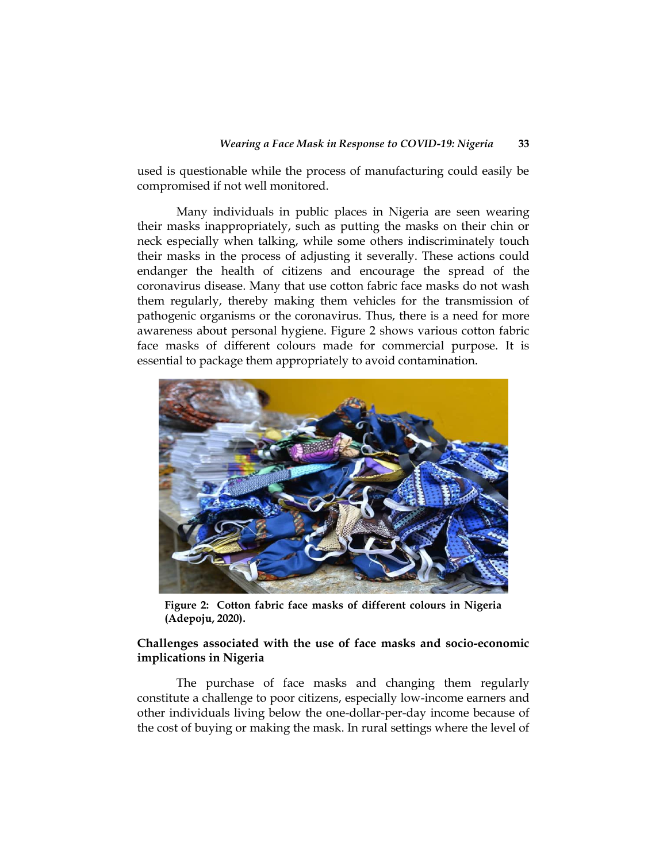used is questionable while the process of manufacturing could easily be compromised if not well monitored.

Many individuals in public places in Nigeria are seen wearing their masks inappropriately, such as putting the masks on their chin or neck especially when talking, while some others indiscriminately touch their masks in the process of adjusting it severally. These actions could endanger the health of citizens and encourage the spread of the coronavirus disease. Many that use cotton fabric face masks do not wash them regularly, thereby making them vehicles for the transmission of pathogenic organisms or the coronavirus. Thus, there is a need for more awareness about personal hygiene. Figure 2 shows various cotton fabric face masks of different colours made for commercial purpose. It is essential to package them appropriately to avoid contamination.



**Figure 2: Cotton fabric face masks of different colours in Nigeria (Adepoju, 2020).**

# **Challenges associated with the use of face masks and socio-economic implications in Nigeria**

The purchase of face masks and changing them regularly constitute a challenge to poor citizens, especially low-income earners and other individuals living below the one-dollar-per-day income because of the cost of buying or making the mask. In rural settings where the level of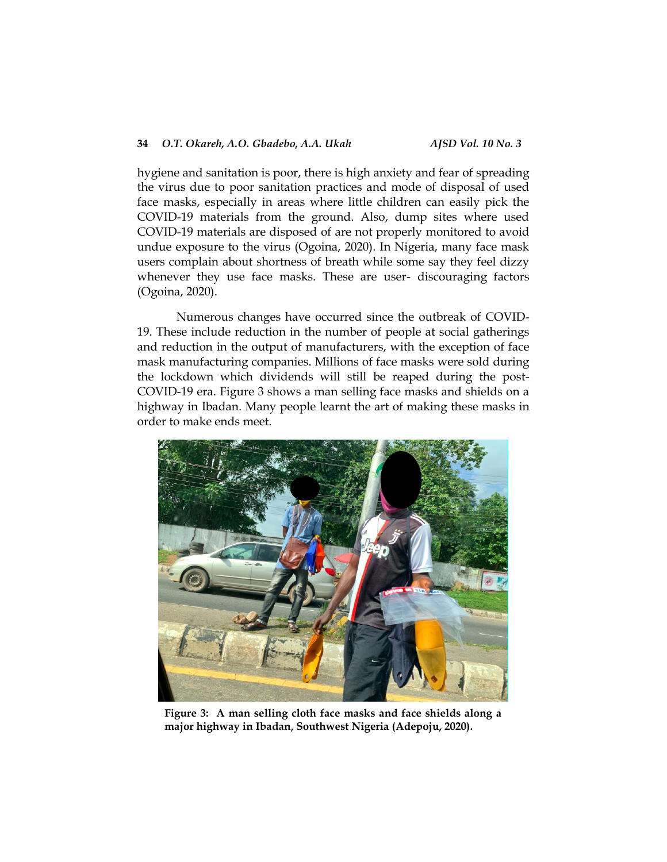### **34** *O.T. Okareh, A.O. Gbadebo, A.A. Ukah AJSD Vol. 10 No. 3*

hygiene and sanitation is poor, there is high anxiety and fear of spreading the virus due to poor sanitation practices and mode of disposal of used face masks, especially in areas where little children can easily pick the COVID-19 materials from the ground. Also, dump sites where used COVID-19 materials are disposed of are not properly monitored to avoid undue exposure to the virus (Ogoina, 2020). In Nigeria, many face mask users complain about shortness of breath while some say they feel dizzy whenever they use face masks. These are user- discouraging factors (Ogoina, 2020).

Numerous changes have occurred since the outbreak of COVID-19. These include reduction in the number of people at social gatherings and reduction in the output of manufacturers, with the exception of face mask manufacturing companies. Millions of face masks were sold during the lockdown which dividends will still be reaped during the post-COVID-19 era. Figure 3 shows a man selling face masks and shields on a highway in Ibadan. Many people learnt the art of making these masks in order to make ends meet.



**Figure 3: A man selling cloth face masks and face shields along a major highway in Ibadan, Southwest Nigeria (Adepoju, 2020).**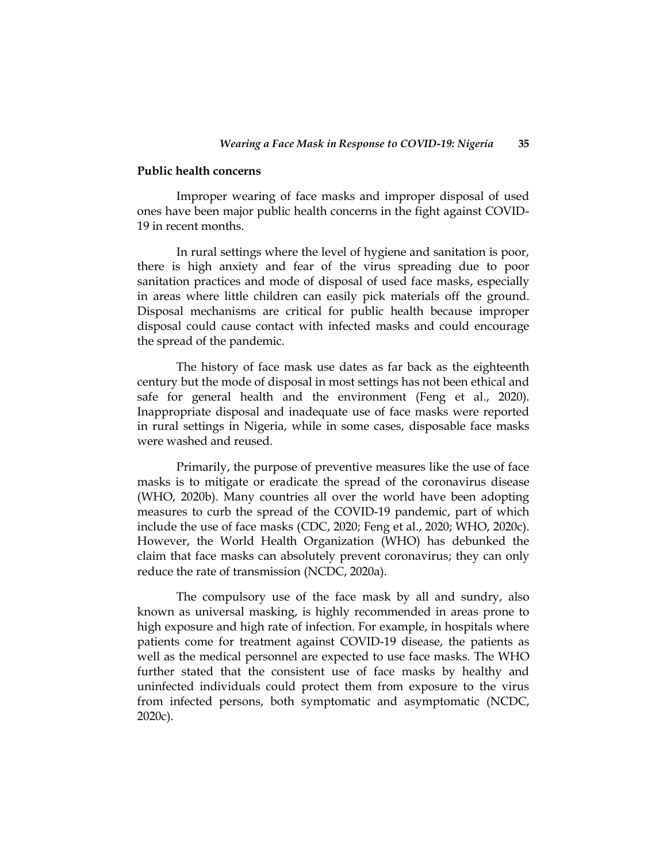#### **Public health concerns**

Improper wearing of face masks and improper disposal of used ones have been major public health concerns in the fight against COVID-19 in recent months.

In rural settings where the level of hygiene and sanitation is poor, there is high anxiety and fear of the virus spreading due to poor sanitation practices and mode of disposal of used face masks, especially in areas where little children can easily pick materials off the ground. Disposal mechanisms are critical for public health because improper disposal could cause contact with infected masks and could encourage the spread of the pandemic.

The history of face mask use dates as far back as the eighteenth century but the mode of disposal in most settings has not been ethical and safe for general health and the environment (Feng et al., 2020). Inappropriate disposal and inadequate use of face masks were reported in rural settings in Nigeria, while in some cases, disposable face masks were washed and reused.

Primarily, the purpose of preventive measures like the use of face masks is to mitigate or eradicate the spread of the coronavirus disease (WHO, 2020b). Many countries all over the world have been adopting measures to curb the spread of the COVID-19 pandemic, part of which include the use of face masks (CDC, 2020; Feng et al., 2020; WHO, 2020c). However, the World Health Organization (WHO) has debunked the claim that face masks can absolutely prevent coronavirus; they can only reduce the rate of transmission (NCDC, 2020a).

The compulsory use of the face mask by all and sundry, also known as universal masking, is highly recommended in areas prone to high exposure and high rate of infection. For example, in hospitals where patients come for treatment against COVID-19 disease, the patients as well as the medical personnel are expected to use face masks. The WHO further stated that the consistent use of face masks by healthy and uninfected individuals could protect them from exposure to the virus from infected persons, both symptomatic and asymptomatic (NCDC, 2020c).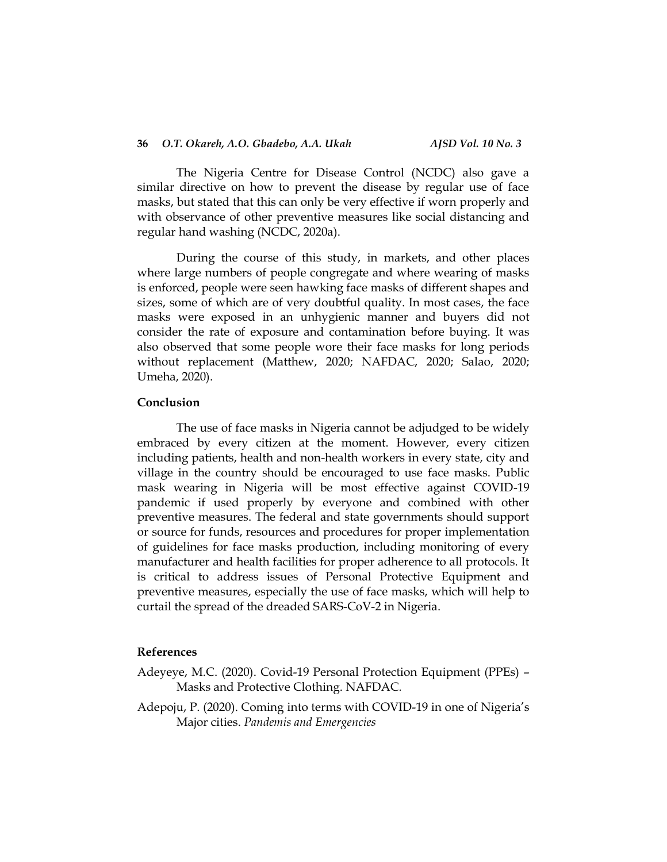The Nigeria Centre for Disease Control (NCDC) also gave a similar directive on how to prevent the disease by regular use of face masks, but stated that this can only be very effective if worn properly and with observance of other preventive measures like social distancing and regular hand washing (NCDC, 2020a).

During the course of this study, in markets, and other places where large numbers of people congregate and where wearing of masks is enforced, people were seen hawking face masks of different shapes and sizes, some of which are of very doubtful quality. In most cases, the face masks were exposed in an unhygienic manner and buyers did not consider the rate of exposure and contamination before buying. It was also observed that some people wore their face masks for long periods without replacement (Matthew, 2020; NAFDAC, 2020; Salao, 2020; Umeha, 2020).

#### **Conclusion**

The use of face masks in Nigeria cannot be adjudged to be widely embraced by every citizen at the moment. However, every citizen including patients, health and non-health workers in every state, city and village in the country should be encouraged to use face masks. Public mask wearing in Nigeria will be most effective against COVID-19 pandemic if used properly by everyone and combined with other preventive measures. The federal and state governments should support or source for funds, resources and procedures for proper implementation of guidelines for face masks production, including monitoring of every manufacturer and health facilities for proper adherence to all protocols. It is critical to address issues of Personal Protective Equipment and preventive measures, especially the use of face masks, which will help to curtail the spread of the dreaded SARS-CoV-2 in Nigeria.

#### **References**

- Adeyeye, M.C. (2020). Covid-19 Personal Protection Equipment (PPEs) Masks and Protective Clothing. NAFDAC*.*
- Adepoju, P. (2020). Coming into terms with COVID-19 in one of Nigeria's Major cities. *Pandemis and Emergencies*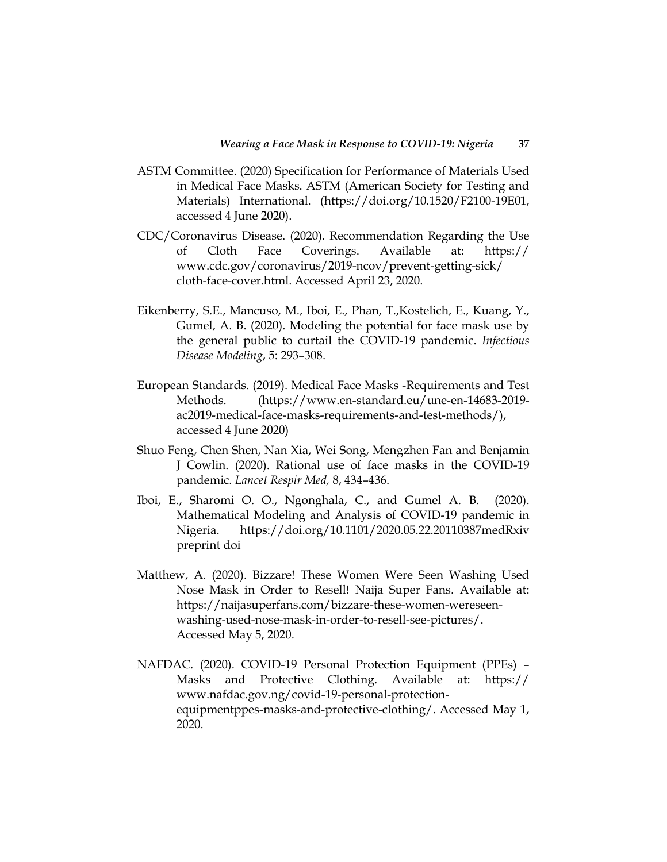- ASTM Committee. (2020) Specification for Performance of Materials Used in Medical Face Masks. ASTM (American Society for Testing and Materials) International. (https://doi.org/10.1520/F2100-19E01, accessed 4 June 2020).
- CDC/Coronavirus Disease. (2020). Recommendation Regarding the Use of Cloth Face Coverings. Available at: https:// www.cdc.gov/coronavirus/2019-ncov/prevent-getting-sick/ cloth-face-cover.html. Accessed April 23, 2020.
- Eikenberry, S.E., Mancuso, M., Iboi, E., Phan, T.,Kostelich, E., Kuang, Y., Gumel, A. B. (2020). Modeling the potential for face mask use by the general public to curtail the COVID-19 pandemic. *Infectious Disease Modeling*, 5: 293–308.
- European Standards. (2019). Medical Face Masks -Requirements and Test Methods. (https://www.en-standard.eu/une-en-14683-2019 ac2019-medical-face-masks-requirements-and-test-methods/), accessed 4 June 2020)
- Shuo Feng, Chen Shen, Nan Xia, Wei Song, Mengzhen Fan and Benjamin J Cowlin. (2020). Rational use of face masks in the COVID-19 pandemic. *Lancet Respir Med,* 8, 434–436.
- Iboi, E., Sharomi O. O., Ngonghala, C., and Gumel A. B. (2020). Mathematical Modeling and Analysis of COVID-19 pandemic in Nigeria. https://doi.org/10.1101/2020.05.22.20110387medRxiv preprint doi
- Matthew, A. (2020). Bizzare! These Women Were Seen Washing Used Nose Mask in Order to Resell! Naija Super Fans. Available at: https://naijasuperfans.com/bizzare-these-women-wereseenwashing-used-nose-mask-in-order-to-resell-see-pictures/. Accessed May 5, 2020.
- NAFDAC. (2020). COVID-19 Personal Protection Equipment (PPEs) Masks and Protective Clothing. Available at: https:// www.nafdac.gov.ng/covid-19-personal-protectionequipmentppes-masks-and-protective-clothing/. Accessed May 1, 2020.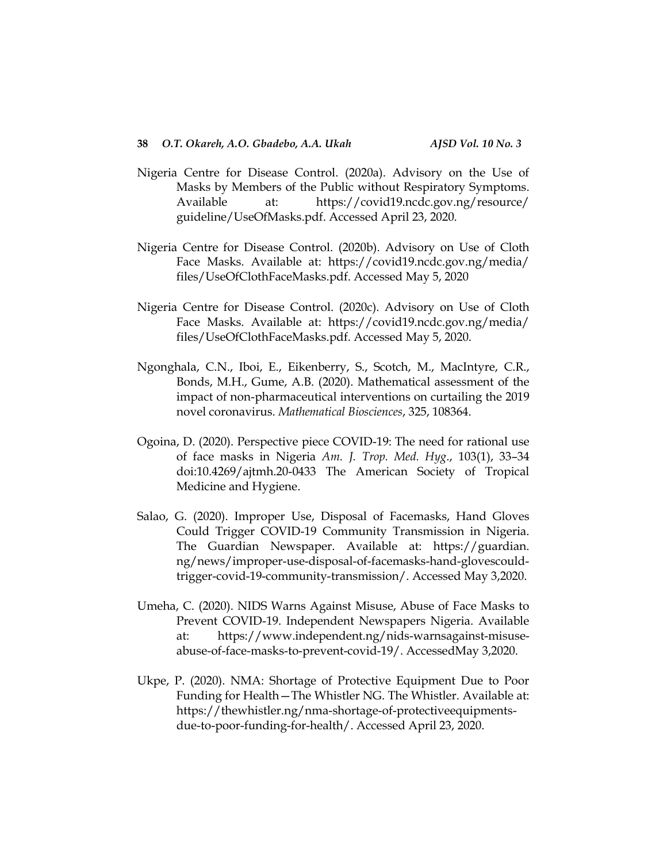- Nigeria Centre for Disease Control. (2020a). Advisory on the Use of Masks by Members of the Public without Respiratory Symptoms. Available at: https://covid19.ncdc.gov.ng/resource/ guideline/UseOfMasks.pdf. Accessed April 23, 2020.
- Nigeria Centre for Disease Control. (2020b). Advisory on Use of Cloth Face Masks. Available at: https://covid19.ncdc.gov.ng/media/ files/UseOfClothFaceMasks.pdf. Accessed May 5, 2020
- Nigeria Centre for Disease Control. (2020c). Advisory on Use of Cloth Face Masks. Available at: https://covid19.ncdc.gov.ng/media/ files/UseOfClothFaceMasks.pdf. Accessed May 5, 2020.
- Ngonghala, C.N., Iboi, E., Eikenberry, S., Scotch, M., MacIntyre, C.R., Bonds, M.H., Gume, A.B. (2020). Mathematical assessment of the impact of non-pharmaceutical interventions on curtailing the 2019 novel coronavirus. *Mathematical Biosciences*, 325, 108364.
- Ogoina, D. (2020). Perspective piece COVID-19: The need for rational use of face masks in Nigeria *Am. J. Trop. Med. Hyg*., 103(1), 33–34 doi:10.4269/ajtmh.20-0433 The American Society of Tropical Medicine and Hygiene.
- Salao, G. (2020). Improper Use, Disposal of Facemasks, Hand Gloves Could Trigger COVID-19 Community Transmission in Nigeria. The Guardian Newspaper. Available at: https://guardian. ng/news/improper-use-disposal-of-facemasks-hand-glovescouldtrigger-covid-19-community-transmission/. Accessed May 3,2020.
- Umeha, C. (2020). NIDS Warns Against Misuse, Abuse of Face Masks to Prevent COVID-19. Independent Newspapers Nigeria. Available at: https://www.independent.ng/nids-warnsagainst-misuseabuse-of-face-masks-to-prevent-covid-19/. AccessedMay 3,2020.
- Ukpe, P. (2020). NMA: Shortage of Protective Equipment Due to Poor Funding for Health—The Whistler NG. The Whistler. Available at: [https://thewhistler.ng/nma-shortage-of-protectiveequipments](https://thewhistler.ng/nma-shortage-of-protectiveequipments-due-to-poor-funding-for-health/)[due-to-poor-funding-for-health/.](https://thewhistler.ng/nma-shortage-of-protectiveequipments-due-to-poor-funding-for-health/) Accessed April 23, 2020.